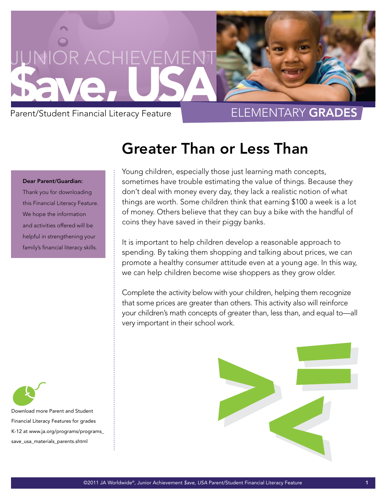

## Dear Parent/Guardian:

Thank you for downloading this Financial Literacy Feature. We hope the information and activities offered will be helpful in strengthening your family's financial literacy skills.

## Greater Than or Less Than

Young children, especially those just learning math concepts, sometimes have trouble estimating the value of things. Because they don't deal with money every day, they lack a realistic notion of what things are worth. Some children think that earning \$100 a week is a lot of money. Others believe that they can buy a bike with the handful of coins they have saved in their piggy banks.

It is important to help children develop a reasonable approach to spending. By taking them shopping and talking about prices, we can promote a healthy consumer attitude even at a young age. In this way, we can help children become wise shoppers as they grow older.

Complete the activity below with your children, helping them recognize that some prices are greater than others. This activity also will reinforce your children's math concepts of greater than, less than, and equal to—all very important in their school work.